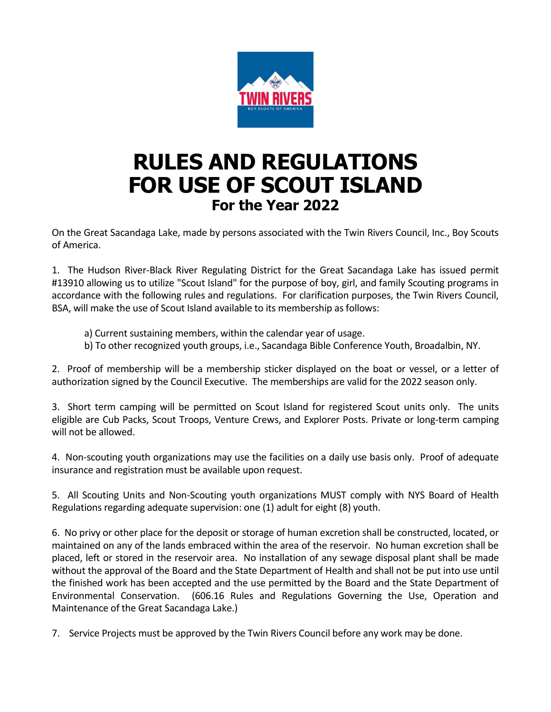

## **RULES AND REGULATIONS FOR USE OF SCOUT ISLAND For the Year 2022**

On the Great Sacandaga Lake, made by persons associated with the Twin Rivers Council, Inc., Boy Scouts of America.

1. The Hudson River-Black River Regulating District for the Great Sacandaga Lake has issued permit #13910 allowing us to utilize "Scout Island" for the purpose of boy, girl, and family Scouting programs in accordance with the following rules and regulations. For clarification purposes, the Twin Rivers Council, BSA, will make the use of Scout Island available to its membership as follows:

a) Current sustaining members, within the calendar year of usage.

b) To other recognized youth groups, i.e., Sacandaga Bible Conference Youth, Broadalbin, NY.

2. Proof of membership will be a membership sticker displayed on the boat or vessel, or a letter of authorization signed by the Council Executive. The memberships are valid for the 2022 season only.

3. Short term camping will be permitted on Scout Island for registered Scout units only. The units eligible are Cub Packs, Scout Troops, Venture Crews, and Explorer Posts. Private or long-term camping will not be allowed.

4. Non-scouting youth organizations may use the facilities on a daily use basis only. Proof of adequate insurance and registration must be available upon request.

5. All Scouting Units and Non-Scouting youth organizations MUST comply with NYS Board of Health Regulations regarding adequate supervision: one (1) adult for eight (8) youth.

6. No privy or other place for the deposit or storage of human excretion shall be constructed, located, or maintained on any of the lands embraced within the area of the reservoir. No human excretion shall be placed, left or stored in the reservoir area. No installation of any sewage disposal plant shall be made without the approval of the Board and the State Department of Health and shall not be put into use until the finished work has been accepted and the use permitted by the Board and the State Department of Environmental Conservation. (606.16 Rules and Regulations Governing the Use, Operation and Maintenance of the Great Sacandaga Lake.)

7. Service Projects must be approved by the Twin Rivers Council before any work may be done.